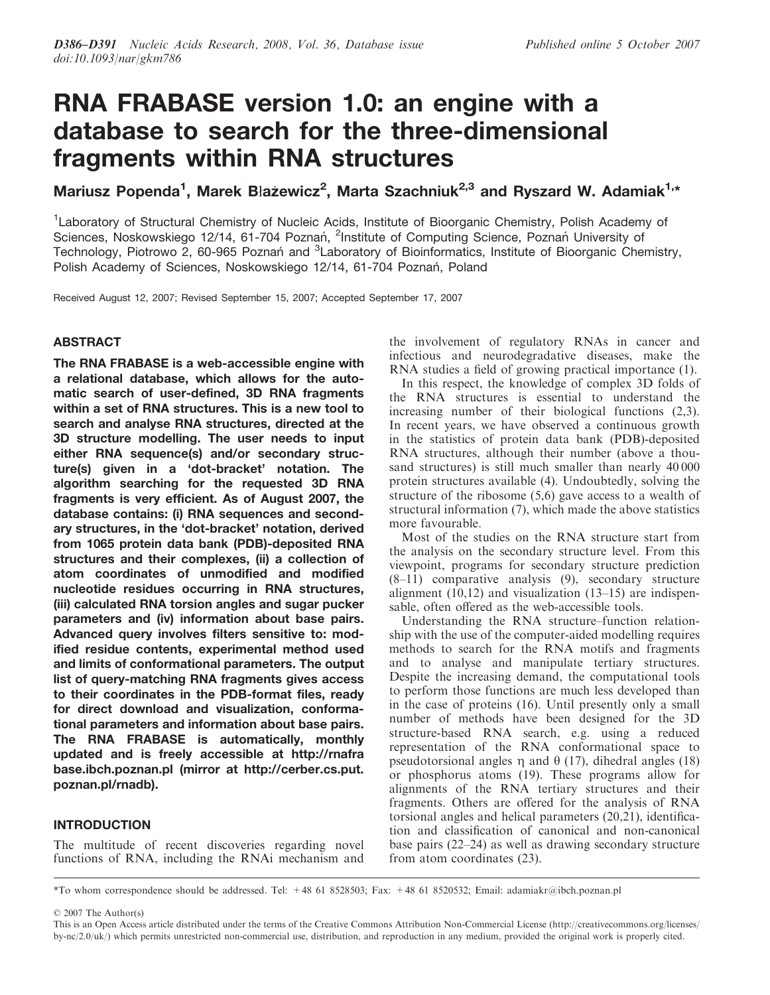# RNA FRABASE version 1.0: an engine with a database to search for the three-dimensional fragments within RNA structures

Mariusz Popenda<sup>1</sup>, Marek Błażewicz<sup>2</sup>, Marta Szachniuk<sup>2,3</sup> and Ryszard W. Adamiak<sup>1,\*</sup>

<sup>1</sup> Laboratory of Structural Chemistry of Nucleic Acids, Institute of Bioorganic Chemistry, Polish Academy of Sciences, Noskowskiego 12/14, 61-704 Poznań, <sup>2</sup>Institute of Computing Science, Poznań University of Technology, Piotrowo 2, 60-965 Poznań and <sup>3</sup>Laboratory of Bioinformatics, Institute of Bioorganic Chemistry, Polish Academy of Sciences, Noskowskiego 12/14, 61-704 Poznań, Poland

Received August 12, 2007; Revised September 15, 2007; Accepted September 17, 2007

# ABSTRACT

The RNA FRABASE is a web-accessible engine with a relational database, which allows for the automatic search of user-defined, 3D RNA fragments within a set of RNA structures. This is a new tool to search and analyse RNA structures, directed at the 3D structure modelling. The user needs to input either RNA sequence(s) and/or secondary structure(s) given in a 'dot-bracket' notation. The algorithm searching for the requested 3D RNA fragments is very efficient. As of August 2007, the database contains: (i) RNA sequences and secondary structures, in the 'dot-bracket' notation, derived from 1065 protein data bank (PDB)-deposited RNA structures and their complexes, (ii) a collection of atom coordinates of unmodified and modified nucleotide residues occurring in RNA structures, (iii) calculated RNA torsion angles and sugar pucker parameters and (iv) information about base pairs. Advanced query involves filters sensitive to: modified residue contents, experimental method used and limits of conformational parameters. The output list of query-matching RNA fragments gives access to their coordinates in the PDB-format files, ready for direct download and visualization, conformational parameters and information about base pairs. The RNA FRABASE is automatically, monthly updated and is freely accessible at<http://rnafra> base.ibch.poznan.pl (mirror at [http://cerber.cs.put.](http://cerber.cs.put) poznan.pl/rnadb).

# INTRODUCTION

The multitude of recent discoveries regarding novel functions of RNA, including the RNAi mechanism and the involvement of regulatory RNAs in cancer and infectious and neurodegradative diseases, make the RNA studies a field of growing practical importance (1).

In this respect, the knowledge of complex 3D folds of the RNA structures is essential to understand the increasing number of their biological functions (2,3). In recent years, we have observed a continuous growth in the statistics of protein data bank (PDB)-deposited RNA structures, although their number (above a thousand structures) is still much smaller than nearly 40 000 protein structures available (4). Undoubtedly, solving the structure of the ribosome (5,6) gave access to a wealth of structural information (7), which made the above statistics more favourable.

Most of the studies on the RNA structure start from the analysis on the secondary structure level. From this viewpoint, programs for secondary structure prediction (8–11) comparative analysis (9), secondary structure alignment (10,12) and visualization (13–15) are indispensable, often offered as the web-accessible tools.

Understanding the RNA structure–function relationship with the use of the computer-aided modelling requires methods to search for the RNA motifs and fragments and to analyse and manipulate tertiary structures. Despite the increasing demand, the computational tools to perform those functions are much less developed than in the case of proteins (16). Until presently only a small number of methods have been designed for the 3D structure-based RNA search, e.g. using a reduced representation of the RNA conformational space to pseudotorsional angles  $\eta$  and  $\theta$  (17), dihedral angles (18) or phosphorus atoms (19). These programs allow for alignments of the RNA tertiary structures and their fragments. Others are offered for the analysis of RNA torsional angles and helical parameters (20,21), identification and classification of canonical and non-canonical base pairs (22–24) as well as drawing secondary structure from atom coordinates (23).

\*To whom correspondence should be addressed. Tel: +48 61 8528503; Fax: +48 61 8520532; Email: adamiakr@ibch.poznan.pl

2007 The Author(s)

This is an Open Access article distributed under the terms of the Creative Commons Attribution Non-Commercial License [\(http://creativecommons.org/licenses/](http://creativecommons.org/licenses/) by-nc/2.0/uk/) which permits unrestricted non-commercial use, distribution, and reproduction in any medium, provided the original work is properly cited.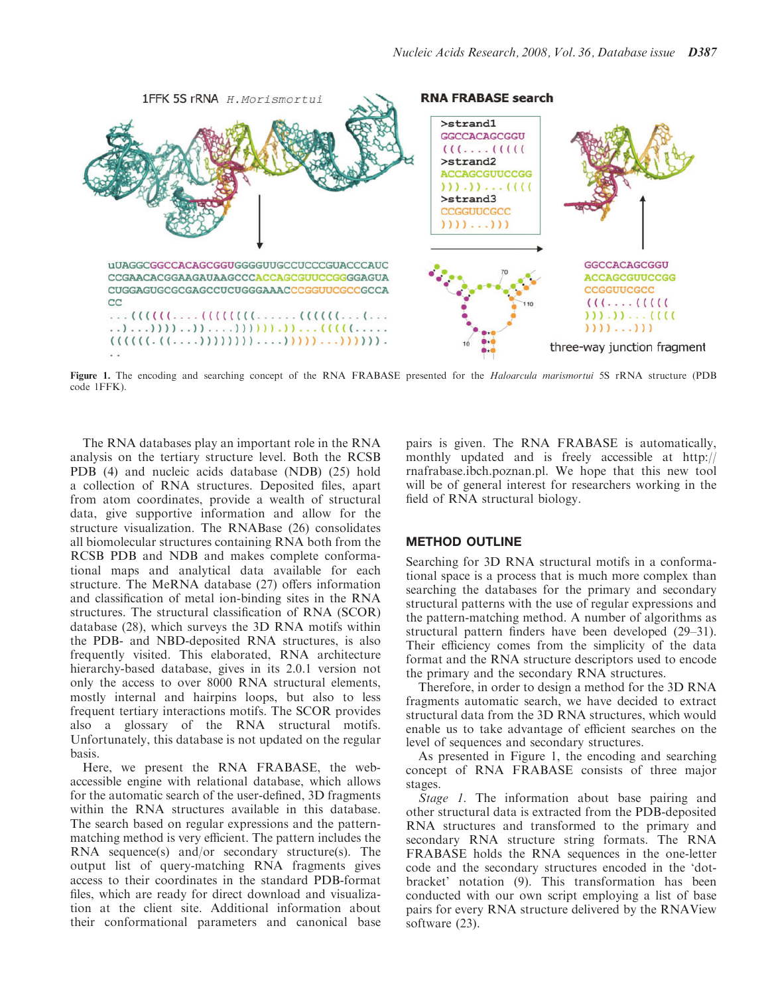

Figure 1. The encoding and searching concept of the RNA FRABASE presented for the Haloarcula marismortui 5S rRNA structure (PDB code 1FFK).

The RNA databases play an important role in the RNA analysis on the tertiary structure level. Both the RCSB PDB (4) and nucleic acids database (NDB) (25) hold a collection of RNA structures. Deposited files, apart from atom coordinates, provide a wealth of structural data, give supportive information and allow for the structure visualization. The RNABase (26) consolidates all biomolecular structures containing RNA both from the RCSB PDB and NDB and makes complete conformational maps and analytical data available for each structure. The MeRNA database (27) offers information and classification of metal ion-binding sites in the RNA structures. The structural classification of RNA (SCOR) database (28), which surveys the 3D RNA motifs within the PDB- and NBD-deposited RNA structures, is also frequently visited. This elaborated, RNA architecture hierarchy-based database, gives in its 2.0.1 version not only the access to over 8000 RNA structural elements, mostly internal and hairpins loops, but also to less frequent tertiary interactions motifs. The SCOR provides also a glossary of the RNA structural motifs. Unfortunately, this database is not updated on the regular basis.

Here, we present the RNA FRABASE, the webaccessible engine with relational database, which allows for the automatic search of the user-defined, 3D fragments within the RNA structures available in this database. The search based on regular expressions and the patternmatching method is very efficient. The pattern includes the RNA sequence(s) and/or secondary structure(s). The output list of query-matching RNA fragments gives access to their coordinates in the standard PDB-format files, which are ready for direct download and visualization at the client site. Additional information about their conformational parameters and canonical base pairs is given. The RNA FRABASE is automatically, monthly updated and is freely accessible at<http://> rnafrabase.ibch.poznan.pl. We hope that this new tool will be of general interest for researchers working in the field of RNA structural biology.

#### METHOD OUTLINE

Searching for 3D RNA structural motifs in a conformational space is a process that is much more complex than searching the databases for the primary and secondary structural patterns with the use of regular expressions and the pattern-matching method. A number of algorithms as structural pattern finders have been developed (29–31). Their efficiency comes from the simplicity of the data format and the RNA structure descriptors used to encode the primary and the secondary RNA structures.

Therefore, in order to design a method for the 3D RNA fragments automatic search, we have decided to extract structural data from the 3D RNA structures, which would enable us to take advantage of efficient searches on the level of sequences and secondary structures.

As presented in Figure 1, the encoding and searching concept of RNA FRABASE consists of three major stages.

Stage 1. The information about base pairing and other structural data is extracted from the PDB-deposited RNA structures and transformed to the primary and secondary RNA structure string formats. The RNA FRABASE holds the RNA sequences in the one-letter code and the secondary structures encoded in the 'dotbracket' notation (9). This transformation has been conducted with our own script employing a list of base pairs for every RNA structure delivered by the RNAView software (23).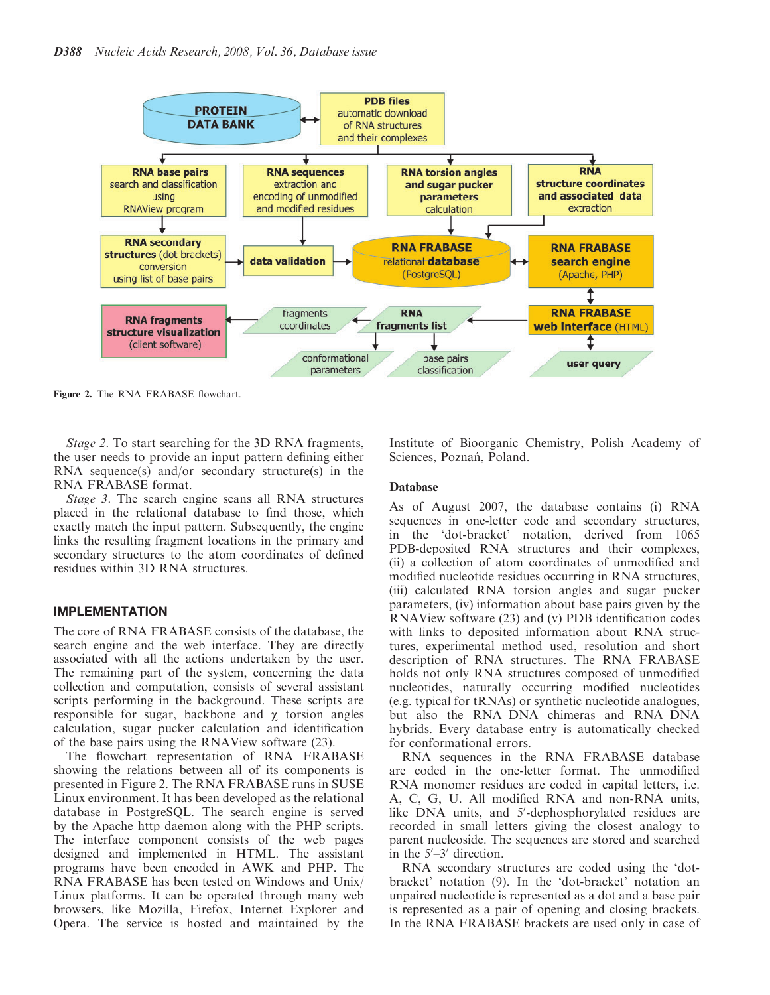

Figure 2. The RNA FRABASE flowchart.

Stage 2. To start searching for the 3D RNA fragments, the user needs to provide an input pattern defining either RNA sequence(s) and/or secondary structure(s) in the RNA FRABASE format.

Stage 3. The search engine scans all RNA structures placed in the relational database to find those, which exactly match the input pattern. Subsequently, the engine links the resulting fragment locations in the primary and secondary structures to the atom coordinates of defined residues within 3D RNA structures.

#### IMPLEMENTATION

The core of RNA FRABASE consists of the database, the search engine and the web interface. They are directly associated with all the actions undertaken by the user. The remaining part of the system, concerning the data collection and computation, consists of several assistant scripts performing in the background. These scripts are responsible for sugar, backbone and  $\gamma$  torsion angles calculation, sugar pucker calculation and identification of the base pairs using the RNAView software (23).

The flowchart representation of RNA FRABASE showing the relations between all of its components is presented in Figure 2. The RNA FRABASE runs in SUSE Linux environment. It has been developed as the relational database in PostgreSQL. The search engine is served by the Apache http daemon along with the PHP scripts. The interface component consists of the web pages designed and implemented in HTML. The assistant programs have been encoded in AWK and PHP. The RNA FRABASE has been tested on Windows and Unix/ Linux platforms. It can be operated through many web browsers, like Mozilla, Firefox, Internet Explorer and Opera. The service is hosted and maintained by the

Institute of Bioorganic Chemistry, Polish Academy of Sciences, Poznań, Poland.

#### Database

As of August 2007, the database contains (i) RNA sequences in one-letter code and secondary structures, in the 'dot-bracket' notation, derived from 1065 PDB-deposited RNA structures and their complexes, (ii) a collection of atom coordinates of unmodified and modified nucleotide residues occurring in RNA structures, (iii) calculated RNA torsion angles and sugar pucker parameters, (iv) information about base pairs given by the RNAView software (23) and (v) PDB identification codes with links to deposited information about RNA structures, experimental method used, resolution and short description of RNA structures. The RNA FRABASE holds not only RNA structures composed of unmodified nucleotides, naturally occurring modified nucleotides (e.g. typical for tRNAs) or synthetic nucleotide analogues, but also the RNA–DNA chimeras and RNA–DNA hybrids. Every database entry is automatically checked for conformational errors.

RNA sequences in the RNA FRABASE database are coded in the one-letter format. The unmodified RNA monomer residues are coded in capital letters, i.e. A, C, G, U. All modified RNA and non-RNA units, like DNA units, and 5'-dephosphorylated residues are recorded in small letters giving the closest analogy to parent nucleoside. The sequences are stored and searched in the  $5^{\prime}-3^{\prime}$  direction.

RNA secondary structures are coded using the 'dotbracket' notation (9). In the 'dot-bracket' notation an unpaired nucleotide is represented as a dot and a base pair is represented as a pair of opening and closing brackets. In the RNA FRABASE brackets are used only in case of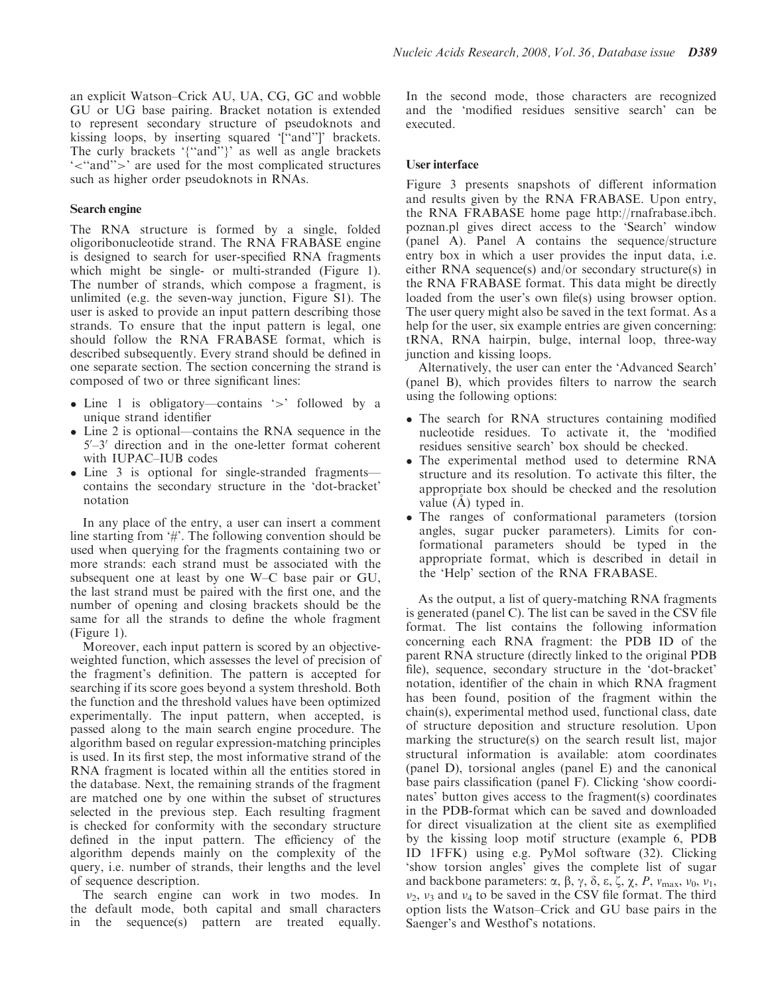an explicit Watson–Crick AU, UA, CG, GC and wobble GU or UG base pairing. Bracket notation is extended to represent secondary structure of pseudoknots and kissing loops, by inserting squared '[''and'']' brackets. The curly brackets '{''and''}' as well as angle brackets '<''and''>' are used for the most complicated structures such as higher order pseudoknots in RNAs.

#### Search engine

The RNA structure is formed by a single, folded oligoribonucleotide strand. The RNA FRABASE engine is designed to search for user-specified RNA fragments which might be single- or multi-stranded (Figure 1). The number of strands, which compose a fragment, is unlimited (e.g. the seven-way junction, Figure S1). The user is asked to provide an input pattern describing those strands. To ensure that the input pattern is legal, one should follow the RNA FRABASE format, which is described subsequently. Every strand should be defined in one separate section. The section concerning the strand is composed of two or three significant lines:

- Line 1 is obligatory—contains '>' followed by a unique strand identifier
- Line 2 is optional—contains the RNA sequence in the 5'-3' direction and in the one-letter format coherent with IUPAC–IUB codes
- Line 3 is optional for single-stranded fragments contains the secondary structure in the 'dot-bracket' notation

In any place of the entry, a user can insert a comment line starting from '#'. The following convention should be used when querying for the fragments containing two or more strands: each strand must be associated with the subsequent one at least by one W–C base pair or GU, the last strand must be paired with the first one, and the number of opening and closing brackets should be the same for all the strands to define the whole fragment (Figure 1).

Moreover, each input pattern is scored by an objectiveweighted function, which assesses the level of precision of the fragment's definition. The pattern is accepted for searching if its score goes beyond a system threshold. Both the function and the threshold values have been optimized experimentally. The input pattern, when accepted, is passed along to the main search engine procedure. The algorithm based on regular expression-matching principles is used. In its first step, the most informative strand of the RNA fragment is located within all the entities stored in the database. Next, the remaining strands of the fragment are matched one by one within the subset of structures selected in the previous step. Each resulting fragment is checked for conformity with the secondary structure defined in the input pattern. The efficiency of the algorithm depends mainly on the complexity of the query, i.e. number of strands, their lengths and the level of sequence description.

The search engine can work in two modes. In the default mode, both capital and small characters in the sequence(s) pattern are treated equally. In the second mode, those characters are recognized and the 'modified residues sensitive search' can be executed.

#### User interface

Figure 3 presents snapshots of different information and results given by the RNA FRABASE. Upon entry, the RNA FRABASE home page [http://rnafrabase.ibch.](http://rnafrabase.ibch) poznan.pl gives direct access to the 'Search' window (panel A). Panel A contains the sequence/structure entry box in which a user provides the input data, i.e. either RNA sequence(s) and/or secondary structure(s) in the RNA FRABASE format. This data might be directly loaded from the user's own file(s) using browser option. The user query might also be saved in the text format. As a help for the user, six example entries are given concerning: tRNA, RNA hairpin, bulge, internal loop, three-way junction and kissing loops.

Alternatively, the user can enter the 'Advanced Search' (panel B), which provides filters to narrow the search using the following options:

- The search for RNA structures containing modified nucleotide residues. To activate it, the 'modified residues sensitive search' box should be checked.
- The experimental method used to determine RNA structure and its resolution. To activate this filter, the appropriate box should be checked and the resolution value  $(A)$  typed in.
- The ranges of conformational parameters (torsion angles, sugar pucker parameters). Limits for conformational parameters should be typed in the appropriate format, which is described in detail in the 'Help' section of the RNA FRABASE.

As the output, a list of query-matching RNA fragments is generated (panel C). The list can be saved in the CSV file format. The list contains the following information concerning each RNA fragment: the PDB ID of the parent RNA structure (directly linked to the original PDB file), sequence, secondary structure in the 'dot-bracket' notation, identifier of the chain in which RNA fragment has been found, position of the fragment within the chain(s), experimental method used, functional class, date of structure deposition and structure resolution. Upon marking the structure(s) on the search result list, major structural information is available: atom coordinates (panel D), torsional angles (panel E) and the canonical base pairs classification (panel F). Clicking 'show coordinates' button gives access to the fragment(s) coordinates in the PDB-format which can be saved and downloaded for direct visualization at the client site as exemplified by the kissing loop motif structure (example 6, PDB ID 1FFK) using e.g. PyMol software (32). Clicking 'show torsion angles' gives the complete list of sugar and backbone parameters:  $\alpha$ ,  $\beta$ ,  $\gamma$ ,  $\delta$ ,  $\varepsilon$ ,  $\zeta$ ,  $\chi$ ,  $P$ ,  $v_{\text{max}}$ ,  $v_0$ ,  $v_1$ ,  $v_2$ ,  $v_3$  and  $v_4$  to be saved in the CSV file format. The third option lists the Watson–Crick and GU base pairs in the Saenger's and Westhof's notations.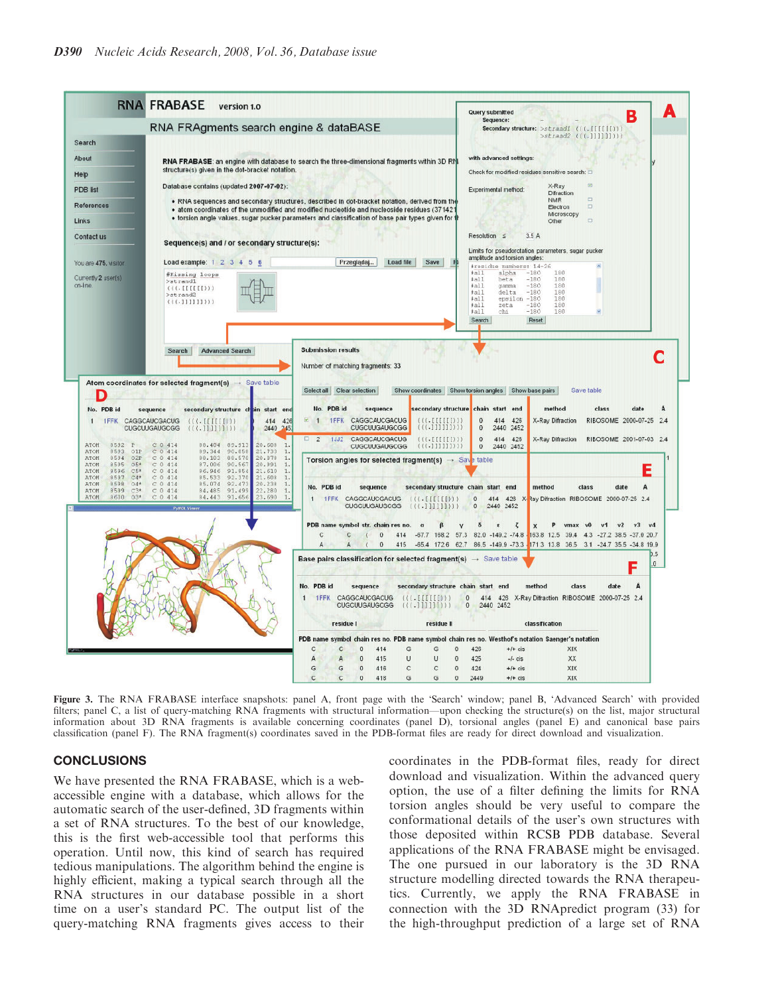

Figure 3. The RNA FRABASE interface snapshots: panel A, front page with the 'Search' window; panel B, 'Advanced Search' with provided filters; panel C, a list of query-matching RNA fragments with structural information—upon checking the structure(s) on the list, major structural information about 3D RNA fragments is available concerning coordinates (panel D), torsional angles (panel E) and canonical base pairs classification (panel F). The RNA fragment(s) coordinates saved in the PDB-format files are ready for direct download and visualization.

#### **CONCLUSIONS**

We have presented the RNA FRABASE, which is a webaccessible engine with a database, which allows for the automatic search of the user-defined, 3D fragments within a set of RNA structures. To the best of our knowledge, this is the first web-accessible tool that performs this operation. Until now, this kind of search has required tedious manipulations. The algorithm behind the engine is highly efficient, making a typical search through all the RNA structures in our database possible in a short time on a user's standard PC. The output list of the query-matching RNA fragments gives access to their coordinates in the PDB-format files, ready for direct download and visualization. Within the advanced query option, the use of a filter defining the limits for RNA torsion angles should be very useful to compare the conformational details of the user's own structures with those deposited within RCSB PDB database. Several applications of the RNA FRABASE might be envisaged. The one pursued in our laboratory is the 3D RNA structure modelling directed towards the RNA therapeutics. Currently, we apply the RNA FRABASE in connection with the 3D RNApredict program (33) for the high-throughput prediction of a large set of RNA